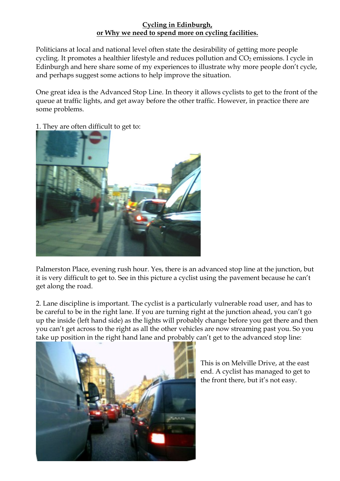## Cycling in Edinburgh, or Why we need to spend more on cycling facilities.

Politicians at local and national level often state the desirability of getting more people cycling. It promotes a healthier lifestyle and reduces pollution and CO<sub>2</sub> emissions. I cycle in Edinburgh and here share some of my experiences to illustrate why more people don't cycle, and perhaps suggest some actions to help improve the situation.

One great idea is the Advanced Stop Line. In theory it allows cyclists to get to the front of the queue at traffic lights, and get away before the other traffic. However, in practice there are some problems.

1. They are often difficult to get to:



Palmerston Place, evening rush hour. Yes, there is an advanced stop line at the junction, but it is very difficult to get to. See in this picture a cyclist using the pavement because he can't get along the road.

2. Lane discipline is important. The cyclist is a particularly vulnerable road user, and has to be careful to be in the right lane. If you are turning right at the junction ahead, you can't go up the inside (left hand side) as the lights will probably change before you get there and then you can't get across to the right as all the other vehicles are now streaming past you. So you take up position in the right hand lane and probably can't get to the advanced stop line:



This is on Melville Drive, at the east end. A cyclist has managed to get to the front there, but it's not easy.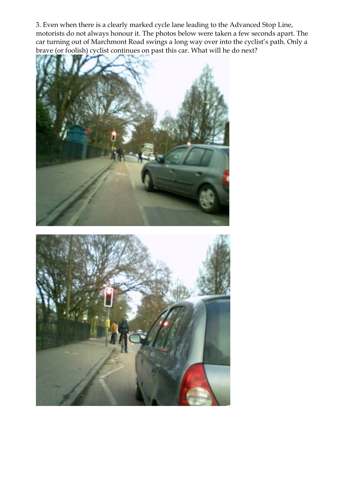3. Even when there is a clearly marked cycle lane leading to the Advanced Stop Line, motorists do not always honour it. The photos below were taken a few seconds apart. The car turning out of Marchmont Road swings a long way over into the cyclist's path. Only a brave (or foolish) cyclist continues on past this car. What will he do next?